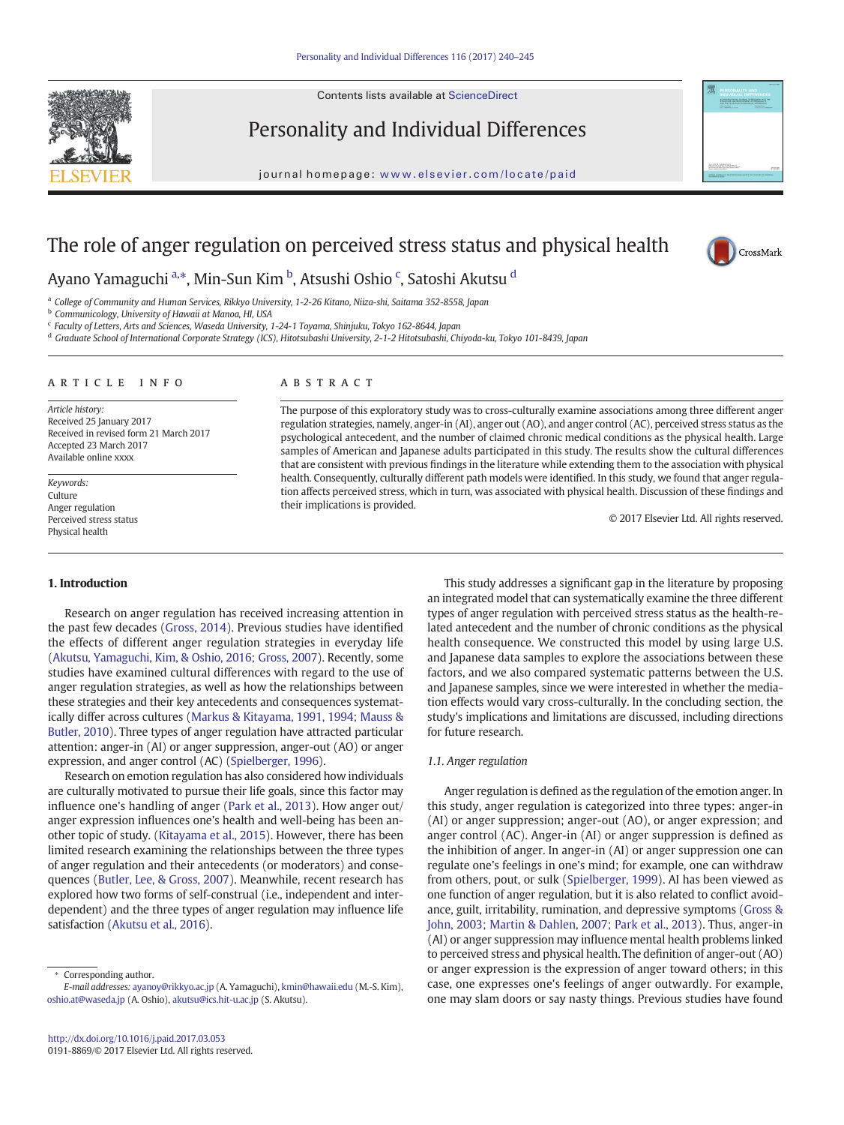Contents lists available at [ScienceDirect](http://www.sciencedirect.com/science/journal/)



Personality and Individual Differences

journal homepage: <www.elsevier.com/locate/paid>



# The role of anger regulation on perceived stress status and physical health



Ayano Yamaguchi <sup>a,</sup>\*, Min-Sun Kim <sup>b</sup>, Atsushi Oshio <sup>c</sup>, Satoshi Akutsu <sup>d</sup>

a College of Community and Human Services, Rikkyo University, 1-2-26 Kitano, Niiza-shi, Saitama 352-8558, Japan

b Communicology, University of Hawaii at Manoa, HI, USA

<sup>c</sup> Faculty of Letters, Arts and Sciences, Waseda University, 1-24-1 Toyama, Shinjuku, Tokyo 162-8644, Japan

<sup>d</sup> Graduate School of International Corporate Strategy (ICS), Hitotsubashi University, 2-1-2 Hitotsubashi, Chiyoda-ku, Tokyo 101-8439, Japan

#### article info abstract

Article history: Received 25 January 2017 Received in revised form 21 March 2017 Accepted 23 March 2017 Available online xxxx

Keywords: Culture Anger regulation Perceived stress status Physical health

#### 1. Introduction

Research on anger regulation has received increasing attention in the past few decades ([Gross, 2014\)](#page-5-0). Previous studies have identified the effects of different anger regulation strategies in everyday life [\(Akutsu, Yamaguchi, Kim, & Oshio, 2016; Gross, 2007\)](#page-5-0). Recently, some studies have examined cultural differences with regard to the use of anger regulation strategies, as well as how the relationships between these strategies and their key antecedents and consequences systematically differ across cultures [\(Markus & Kitayama, 1991, 1994; Mauss &](#page-5-0) [Butler, 2010\)](#page-5-0). Three types of anger regulation have attracted particular attention: anger-in (AI) or anger suppression, anger-out (AO) or anger expression, and anger control (AC) [\(Spielberger, 1996\)](#page-5-0).

Research on emotion regulation has also considered how individuals are culturally motivated to pursue their life goals, since this factor may influence one's handling of anger [\(Park et al., 2013\)](#page-5-0). How anger out/ anger expression influences one's health and well-being has been another topic of study. [\(Kitayama et al., 2015](#page-5-0)). However, there has been limited research examining the relationships between the three types of anger regulation and their antecedents (or moderators) and consequences [\(Butler, Lee, & Gross, 2007\)](#page-5-0). Meanwhile, recent research has explored how two forms of self-construal (i.e., independent and interdependent) and the three types of anger regulation may influence life satisfaction [\(Akutsu et al., 2016\)](#page-5-0).

⁎ Corresponding author.

The purpose of this exploratory study was to cross-culturally examine associations among three different anger regulation strategies, namely, anger-in (AI), anger out (AO), and anger control (AC), perceived stress status as the psychological antecedent, and the number of claimed chronic medical conditions as the physical health. Large samples of American and Japanese adults participated in this study. The results show the cultural differences that are consistent with previous findings in the literature while extending them to the association with physical health. Consequently, culturally different path models were identified. In this study, we found that anger regulation affects perceived stress, which in turn, was associated with physical health. Discussion of these findings and their implications is provided.

© 2017 Elsevier Ltd. All rights reserved.

This study addresses a significant gap in the literature by proposing an integrated model that can systematically examine the three different types of anger regulation with perceived stress status as the health-related antecedent and the number of chronic conditions as the physical health consequence. We constructed this model by using large U.S. and Japanese data samples to explore the associations between these factors, and we also compared systematic patterns between the U.S. and Japanese samples, since we were interested in whether the mediation effects would vary cross-culturally. In the concluding section, the study's implications and limitations are discussed, including directions for future research.

#### 1.1. Anger regulation

Anger regulation is defined as the regulation of the emotion anger. In this study, anger regulation is categorized into three types: anger-in (AI) or anger suppression; anger-out (AO), or anger expression; and anger control (AC). Anger-in (AI) or anger suppression is defined as the inhibition of anger. In anger-in (AI) or anger suppression one can regulate one's feelings in one's mind; for example, one can withdraw from others, pout, or sulk ([Spielberger, 1999](#page-5-0)). AI has been viewed as one function of anger regulation, but it is also related to conflict avoidance, guilt, irritability, rumination, and depressive symptoms [\(Gross &](#page-5-0) [John, 2003; Martin & Dahlen, 2007; Park et al., 2013](#page-5-0)). Thus, anger-in (AI) or anger suppression may influence mental health problems linked to perceived stress and physical health. The definition of anger-out (AO) or anger expression is the expression of anger toward others; in this case, one expresses one's feelings of anger outwardly. For example, one may slam doors or say nasty things. Previous studies have found

E-mail addresses: ayanoy@rikkyo.ac.jp (A. Yamaguchi), kmin@hawaii.edu (M.-S. Kim), oshio.at@waseda.jp (A. Oshio), [akutsu@ics.hit-u.ac.jp](mailto:akutsu@ics.hit-u.ac.jp) (S. Akutsu).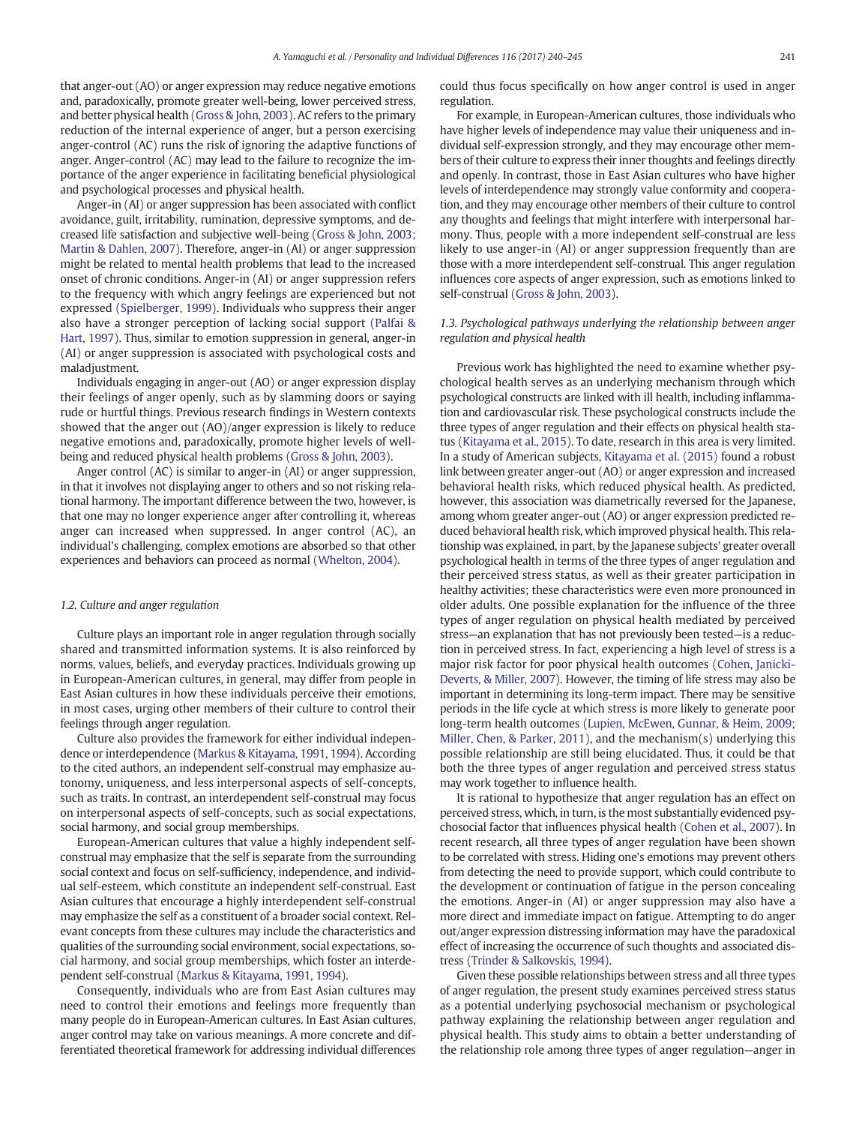that anger-out (AO) or anger expression may reduce negative emotions and, paradoxically, promote greater well-being, lower perceived stress, and better physical health [\(Gross & John, 2003](#page-5-0)). AC refers to the primary reduction of the internal experience of anger, but a person exercising anger-control (AC) runs the risk of ignoring the adaptive functions of anger. Anger-control (AC) may lead to the failure to recognize the importance of the anger experience in facilitating beneficial physiological and psychological processes and physical health.

Anger-in (AI) or anger suppression has been associated with conflict avoidance, guilt, irritability, rumination, depressive symptoms, and decreased life satisfaction and subjective well-being ([Gross & John, 2003;](#page-5-0) [Martin & Dahlen, 2007\)](#page-5-0). Therefore, anger-in (AI) or anger suppression might be related to mental health problems that lead to the increased onset of chronic conditions. Anger-in (AI) or anger suppression refers to the frequency with which angry feelings are experienced but not expressed [\(Spielberger, 1999](#page-5-0)). Individuals who suppress their anger also have a stronger perception of lacking social support ([Palfai &](#page-5-0) [Hart, 1997](#page-5-0)). Thus, similar to emotion suppression in general, anger-in (AI) or anger suppression is associated with psychological costs and maladjustment.

Individuals engaging in anger-out (AO) or anger expression display their feelings of anger openly, such as by slamming doors or saying rude or hurtful things. Previous research findings in Western contexts showed that the anger out (AO)/anger expression is likely to reduce negative emotions and, paradoxically, promote higher levels of wellbeing and reduced physical health problems [\(Gross & John, 2003](#page-5-0)).

Anger control (AC) is similar to anger-in (AI) or anger suppression, in that it involves not displaying anger to others and so not risking relational harmony. The important difference between the two, however, is that one may no longer experience anger after controlling it, whereas anger can increased when suppressed. In anger control (AC), an individual's challenging, complex emotions are absorbed so that other experiences and behaviors can proceed as normal ([Whelton, 2004](#page-5-0)).

#### 1.2. Culture and anger regulation

Culture plays an important role in anger regulation through socially shared and transmitted information systems. It is also reinforced by norms, values, beliefs, and everyday practices. Individuals growing up in European-American cultures, in general, may differ from people in East Asian cultures in how these individuals perceive their emotions, in most cases, urging other members of their culture to control their feelings through anger regulation.

Culture also provides the framework for either individual independence or interdependence ([Markus & Kitayama, 1991, 1994](#page-5-0)). According to the cited authors, an independent self-construal may emphasize autonomy, uniqueness, and less interpersonal aspects of self-concepts, such as traits. In contrast, an interdependent self-construal may focus on interpersonal aspects of self-concepts, such as social expectations, social harmony, and social group memberships.

European-American cultures that value a highly independent selfconstrual may emphasize that the self is separate from the surrounding social context and focus on self-sufficiency, independence, and individual self-esteem, which constitute an independent self-construal. East Asian cultures that encourage a highly interdependent self-construal may emphasize the self as a constituent of a broader social context. Relevant concepts from these cultures may include the characteristics and qualities of the surrounding social environment, social expectations, social harmony, and social group memberships, which foster an interdependent self-construal ([Markus & Kitayama, 1991, 1994\)](#page-5-0).

Consequently, individuals who are from East Asian cultures may need to control their emotions and feelings more frequently than many people do in European-American cultures. In East Asian cultures, anger control may take on various meanings. A more concrete and differentiated theoretical framework for addressing individual differences could thus focus specifically on how anger control is used in anger regulation.

For example, in European-American cultures, those individuals who have higher levels of independence may value their uniqueness and individual self-expression strongly, and they may encourage other members of their culture to express their inner thoughts and feelings directly and openly. In contrast, those in East Asian cultures who have higher levels of interdependence may strongly value conformity and cooperation, and they may encourage other members of their culture to control any thoughts and feelings that might interfere with interpersonal harmony. Thus, people with a more independent self-construal are less likely to use anger-in (AI) or anger suppression frequently than are those with a more interdependent self-construal. This anger regulation influences core aspects of anger expression, such as emotions linked to self-construal [\(Gross & John, 2003](#page-5-0)).

#### 1.3. Psychological pathways underlying the relationship between anger regulation and physical health

Previous work has highlighted the need to examine whether psychological health serves as an underlying mechanism through which psychological constructs are linked with ill health, including inflammation and cardiovascular risk. These psychological constructs include the three types of anger regulation and their effects on physical health status ([Kitayama et al., 2015](#page-5-0)). To date, research in this area is very limited. In a study of American subjects, [Kitayama et al. \(2015\)](#page-5-0) found a robust link between greater anger-out (AO) or anger expression and increased behavioral health risks, which reduced physical health. As predicted, however, this association was diametrically reversed for the Japanese, among whom greater anger-out (AO) or anger expression predicted reduced behavioral health risk, which improved physical health. This relationship was explained, in part, by the Japanese subjects' greater overall psychological health in terms of the three types of anger regulation and their perceived stress status, as well as their greater participation in healthy activities; these characteristics were even more pronounced in older adults. One possible explanation for the influence of the three types of anger regulation on physical health mediated by perceived stress—an explanation that has not previously been tested—is a reduction in perceived stress. In fact, experiencing a high level of stress is a major risk factor for poor physical health outcomes [\(Cohen, Janicki-](#page-5-0)[Deverts, & Miller, 2007](#page-5-0)). However, the timing of life stress may also be important in determining its long-term impact. There may be sensitive periods in the life cycle at which stress is more likely to generate poor long-term health outcomes ([Lupien, McEwen, Gunnar, & Heim, 2009;](#page-5-0) [Miller, Chen, & Parker, 2011](#page-5-0)), and the mechanism(s) underlying this possible relationship are still being elucidated. Thus, it could be that both the three types of anger regulation and perceived stress status may work together to influence health.

It is rational to hypothesize that anger regulation has an effect on perceived stress, which, in turn, is the most substantially evidenced psychosocial factor that influences physical health [\(Cohen et al., 2007](#page-5-0)). In recent research, all three types of anger regulation have been shown to be correlated with stress. Hiding one's emotions may prevent others from detecting the need to provide support, which could contribute to the development or continuation of fatigue in the person concealing the emotions. Anger-in (AI) or anger suppression may also have a more direct and immediate impact on fatigue. Attempting to do anger out/anger expression distressing information may have the paradoxical effect of increasing the occurrence of such thoughts and associated distress ([Trinder & Salkovskis, 1994\)](#page-5-0).

Given these possible relationships between stress and all three types of anger regulation, the present study examines perceived stress status as a potential underlying psychosocial mechanism or psychological pathway explaining the relationship between anger regulation and physical health. This study aims to obtain a better understanding of the relationship role among three types of anger regulation—anger in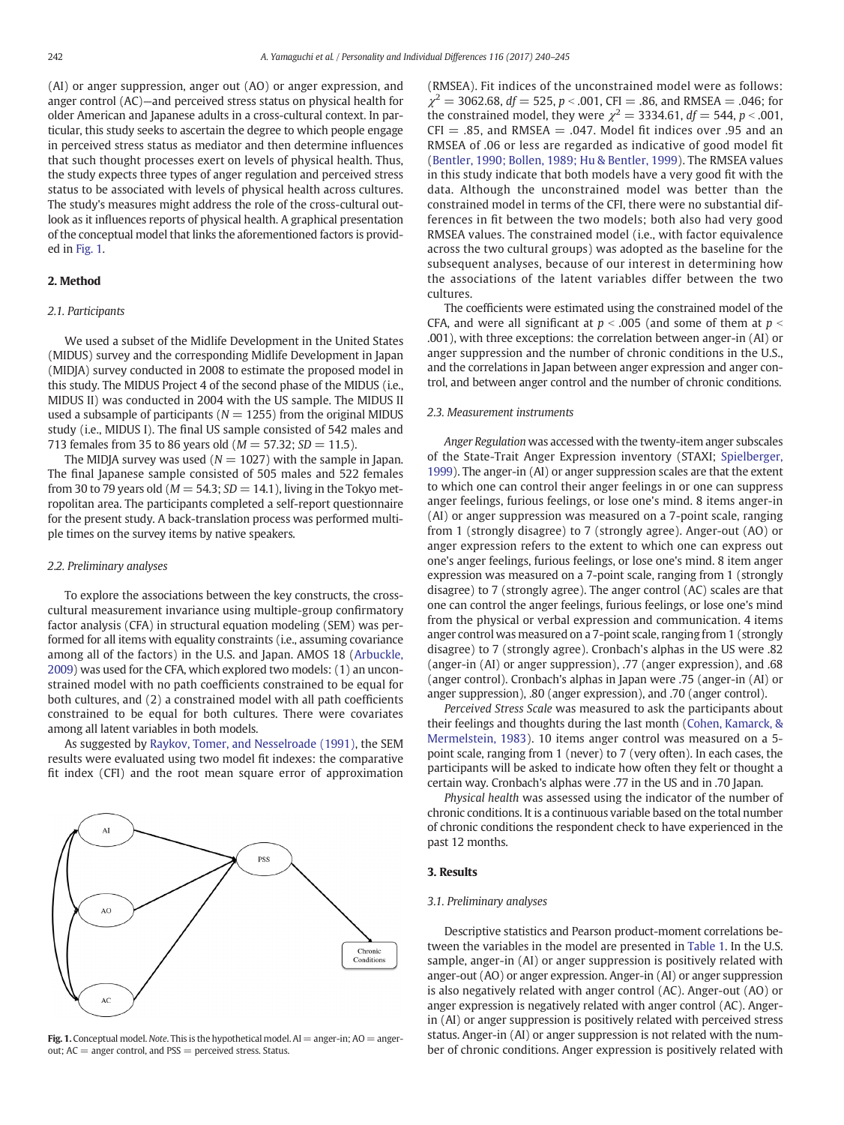(AI) or anger suppression, anger out (AO) or anger expression, and anger control (AC)—and perceived stress status on physical health for older American and Japanese adults in a cross-cultural context. In particular, this study seeks to ascertain the degree to which people engage in perceived stress status as mediator and then determine influences that such thought processes exert on levels of physical health. Thus, the study expects three types of anger regulation and perceived stress status to be associated with levels of physical health across cultures. The study's measures might address the role of the cross-cultural outlook as it influences reports of physical health. A graphical presentation of the conceptual model that links the aforementioned factors is provided in Fig. 1.

## 2. Method

#### 2.1. Participants

We used a subset of the Midlife Development in the United States (MIDUS) survey and the corresponding Midlife Development in Japan (MIDJA) survey conducted in 2008 to estimate the proposed model in this study. The MIDUS Project 4 of the second phase of the MIDUS (i.e., MIDUS II) was conducted in 2004 with the US sample. The MIDUS II used a subsample of participants ( $N = 1255$ ) from the original MIDUS study (i.e., MIDUS I). The final US sample consisted of 542 males and 713 females from 35 to 86 years old ( $M = 57.32$ ; SD = 11.5).

The MIDJA survey was used ( $N = 1027$ ) with the sample in Japan. The final Japanese sample consisted of 505 males and 522 females from 30 to 79 years old ( $M = 54.3$ ;  $SD = 14.1$ ), living in the Tokyo metropolitan area. The participants completed a self-report questionnaire for the present study. A back-translation process was performed multiple times on the survey items by native speakers.

#### 2.2. Preliminary analyses

To explore the associations between the key constructs, the crosscultural measurement invariance using multiple-group confirmatory factor analysis (CFA) in structural equation modeling (SEM) was performed for all items with equality constraints (i.e., assuming covariance among all of the factors) in the U.S. and Japan. AMOS 18 [\(Arbuckle,](#page-5-0) [2009\)](#page-5-0) was used for the CFA, which explored two models: (1) an unconstrained model with no path coefficients constrained to be equal for both cultures, and (2) a constrained model with all path coefficients constrained to be equal for both cultures. There were covariates among all latent variables in both models.

As suggested by [Raykov, Tomer, and Nesselroade \(1991\),](#page-5-0) the SEM results were evaluated using two model fit indexes: the comparative fit index (CFI) and the root mean square error of approximation



Fig. 1. Conceptual model. Note. This is the hypothetical model.  $AI = anger-in$ ;  $AO = anger$ out;  $AC =$  anger control, and  $PSS =$  perceived stress. Status.

(RMSEA). Fit indices of the unconstrained model were as follows:  $\gamma^2 = 3062.68$ ,  $df = 525$ ,  $p < .001$ , CFI = .86, and RMSEA = .046; for the constrained model, they were  $\chi^2 = 3334.61$ ,  $df = 544$ ,  $p < .001$ ,  $CFI = .85$ , and RMSEA = .047. Model fit indices over .95 and an RMSEA of .06 or less are regarded as indicative of good model fit [\(Bentler, 1990; Bollen, 1989; Hu & Bentler, 1999](#page-5-0)). The RMSEA values in this study indicate that both models have a very good fit with the data. Although the unconstrained model was better than the constrained model in terms of the CFI, there were no substantial differences in fit between the two models; both also had very good RMSEA values. The constrained model (i.e., with factor equivalence across the two cultural groups) was adopted as the baseline for the subsequent analyses, because of our interest in determining how the associations of the latent variables differ between the two cultures.

The coefficients were estimated using the constrained model of the CFA, and were all significant at  $p < .005$  (and some of them at  $p <$ .001), with three exceptions: the correlation between anger-in (AI) or anger suppression and the number of chronic conditions in the U.S., and the correlations in Japan between anger expression and anger control, and between anger control and the number of chronic conditions.

#### 2.3. Measurement instruments

Anger Regulation was accessed with the twenty-item anger subscales of the State-Trait Anger Expression inventory (STAXI; [Spielberger,](#page-5-0) [1999\)](#page-5-0). The anger-in (AI) or anger suppression scales are that the extent to which one can control their anger feelings in or one can suppress anger feelings, furious feelings, or lose one's mind. 8 items anger-in (AI) or anger suppression was measured on a 7-point scale, ranging from 1 (strongly disagree) to 7 (strongly agree). Anger-out (AO) or anger expression refers to the extent to which one can express out one's anger feelings, furious feelings, or lose one's mind. 8 item anger expression was measured on a 7-point scale, ranging from 1 (strongly disagree) to 7 (strongly agree). The anger control (AC) scales are that one can control the anger feelings, furious feelings, or lose one's mind from the physical or verbal expression and communication. 4 items anger control was measured on a 7-point scale, ranging from 1 (strongly disagree) to 7 (strongly agree). Cronbach's alphas in the US were .82 (anger-in (AI) or anger suppression), .77 (anger expression), and .68 (anger control). Cronbach's alphas in Japan were .75 (anger-in (AI) or anger suppression), .80 (anger expression), and .70 (anger control).

Perceived Stress Scale was measured to ask the participants about their feelings and thoughts during the last month [\(Cohen, Kamarck, &](#page-5-0) [Mermelstein, 1983\)](#page-5-0). 10 items anger control was measured on a 5 point scale, ranging from 1 (never) to 7 (very often). In each cases, the participants will be asked to indicate how often they felt or thought a certain way. Cronbach's alphas were .77 in the US and in .70 Japan.

Physical health was assessed using the indicator of the number of chronic conditions. It is a continuous variable based on the total number of chronic conditions the respondent check to have experienced in the past 12 months.

#### 3. Results

#### 3.1. Preliminary analyses

Descriptive statistics and Pearson product-moment correlations between the variables in the model are presented in [Table 1.](#page-3-0) In the U.S. sample, anger-in (AI) or anger suppression is positively related with anger-out (AO) or anger expression. Anger-in (AI) or anger suppression is also negatively related with anger control (AC). Anger-out (AO) or anger expression is negatively related with anger control (AC). Angerin (AI) or anger suppression is positively related with perceived stress status. Anger-in (AI) or anger suppression is not related with the number of chronic conditions. Anger expression is positively related with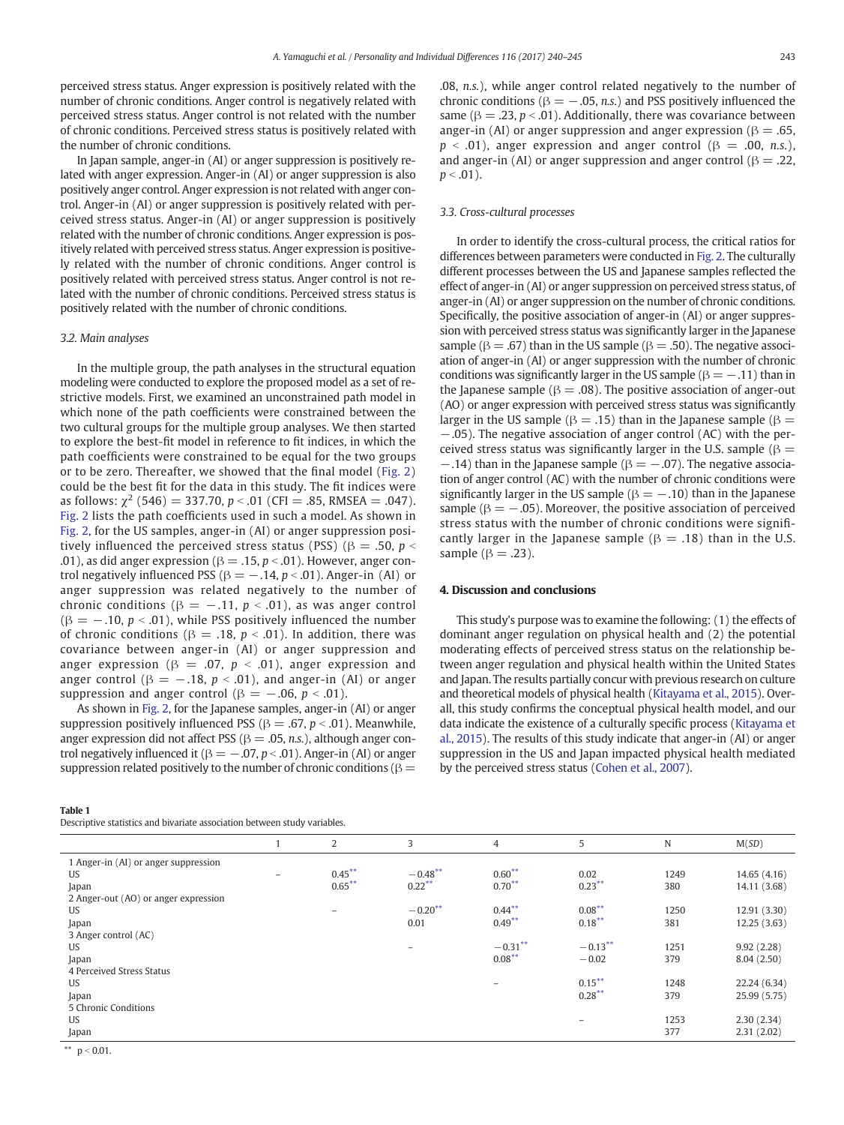<span id="page-3-0"></span>perceived stress status. Anger expression is positively related with the number of chronic conditions. Anger control is negatively related with perceived stress status. Anger control is not related with the number of chronic conditions. Perceived stress status is positively related with the number of chronic conditions.

In Japan sample, anger-in (AI) or anger suppression is positively related with anger expression. Anger-in (AI) or anger suppression is also positively anger control. Anger expression is not related with anger control. Anger-in (AI) or anger suppression is positively related with perceived stress status. Anger-in (AI) or anger suppression is positively related with the number of chronic conditions. Anger expression is positively related with perceived stress status. Anger expression is positively related with the number of chronic conditions. Anger control is positively related with perceived stress status. Anger control is not related with the number of chronic conditions. Perceived stress status is positively related with the number of chronic conditions.

#### 3.2. Main analyses

In the multiple group, the path analyses in the structural equation modeling were conducted to explore the proposed model as a set of restrictive models. First, we examined an unconstrained path model in which none of the path coefficients were constrained between the two cultural groups for the multiple group analyses. We then started to explore the best-fit model in reference to fit indices, in which the path coefficients were constrained to be equal for the two groups or to be zero. Thereafter, we showed that the final model [\(Fig. 2](#page-4-0)) could be the best fit for the data in this study. The fit indices were as follows:  $\chi^2$  (546) = 337.70, p < .01 (CFI = .85, RMSEA = .047). [Fig. 2](#page-4-0) lists the path coefficients used in such a model. As shown in [Fig. 2,](#page-4-0) for the US samples, anger-in (AI) or anger suppression positively influenced the perceived stress status (PSS) ( $\beta = .50$ ,  $p <$ .01), as did anger expression ( $\beta = .15$ ,  $p < .01$ ). However, anger control negatively influenced PSS ( $\beta = -0.14$ ,  $p < 0.01$ ). Anger-in (AI) or anger suppression was related negatively to the number of chronic conditions ( $\beta = -.11$ ,  $p < .01$ ), as was anger control ( $\beta = -.10$ ,  $p < .01$ ), while PSS positively influenced the number of chronic conditions ( $\beta = .18$ ,  $p < .01$ ). In addition, there was covariance between anger-in (AI) or anger suppression and anger expression ( $\beta = .07$ ,  $p < .01$ ), anger expression and anger control ( $\beta = -.18$ ,  $p < .01$ ), and anger-in (AI) or anger suppression and anger control ( $\beta = -.06, p < .01$ ).

As shown in [Fig. 2](#page-4-0), for the Japanese samples, anger-in (AI) or anger suppression positively influenced PSS ( $\beta = .67$ ,  $p < .01$ ). Meanwhile, anger expression did not affect PSS ( $\beta = 0.05$ , n.s.), although anger control negatively influenced it ( $\beta = -.07, p < .01$ ). Anger-in (AI) or anger suppression related positively to the number of chronic conditions ( $\beta$  =

#### Table 1

Descriptive statistics and bivariate association between study variables.

.08, n.s.), while anger control related negatively to the number of chronic conditions ( $\beta = -.05$ , *n.s.*) and PSS positively influenced the same ( $\beta = .23$ ,  $p < .01$ ). Additionally, there was covariance between anger-in (AI) or anger suppression and anger expression ( $\beta = .65$ ,  $p < .01$ ), anger expression and anger control ( $\beta = .00$ , n.s.), and anger-in (AI) or anger suppression and anger control ( $\beta = 0.22$ ,  $p < .01$ ).

#### 3.3. Cross-cultural processes

In order to identify the cross-cultural process, the critical ratios for differences between parameters were conducted in [Fig. 2.](#page-4-0) The culturally different processes between the US and Japanese samples reflected the effect of anger-in (AI) or anger suppression on perceived stress status, of anger-in (AI) or anger suppression on the number of chronic conditions. Specifically, the positive association of anger-in (AI) or anger suppression with perceived stress status was significantly larger in the Japanese sample ( $\beta = .67$ ) than in the US sample ( $\beta = .50$ ). The negative association of anger-in (AI) or anger suppression with the number of chronic conditions was significantly larger in the US sample ( $\beta = -11$ ) than in the Japanese sample ( $\beta = .08$ ). The positive association of anger-out (AO) or anger expression with perceived stress status was significantly larger in the US sample ( $\beta = .15$ ) than in the Japanese sample ( $\beta =$ −.05). The negative association of anger control (AC) with the perceived stress status was significantly larger in the U.S. sample ( $\beta =$  $-14$ ) than in the Japanese sample ( $\beta = -0.07$ ). The negative association of anger control (AC) with the number of chronic conditions were significantly larger in the US sample ( $\beta = -.10$ ) than in the Japanese sample ( $\beta = -.05$ ). Moreover, the positive association of perceived stress status with the number of chronic conditions were significantly larger in the Japanese sample ( $\beta = .18$ ) than in the U.S. sample ( $\beta = .23$ ).

## 4. Discussion and conclusions

This study's purpose was to examine the following: (1) the effects of dominant anger regulation on physical health and (2) the potential moderating effects of perceived stress status on the relationship between anger regulation and physical health within the United States and Japan. The results partially concur with previous research on culture and theoretical models of physical health [\(Kitayama et al., 2015](#page-5-0)). Overall, this study confirms the conceptual physical health model, and our data indicate the existence of a culturally specific process [\(Kitayama et](#page-5-0) [al., 2015](#page-5-0)). The results of this study indicate that anger-in (AI) or anger suppression in the US and Japan impacted physical health mediated by the perceived stress status [\(Cohen et al., 2007\)](#page-5-0).

|                                      | 2         | 3                 | 4                        | 5          | N    | M(SD)        |
|--------------------------------------|-----------|-------------------|--------------------------|------------|------|--------------|
| 1 Anger-in (AI) or anger suppression |           |                   |                          |            |      |              |
| <b>US</b>                            | $0.45***$ | $-0.48***$        | $0.60**$                 | 0.02       | 1249 | 14.65(4.16)  |
| Japan                                | $0.65***$ | $0.22***$         | $0.70***$                | $0.23***$  | 380  | 14.11 (3.68) |
| 2 Anger-out (AO) or anger expression |           |                   |                          |            |      |              |
| <b>US</b>                            |           | $-0.20**$         | $0.44***$                | $0.08***$  | 1250 | 12.91 (3.30) |
| Japan                                |           | 0.01              | $0.49***$                | $0.18***$  | 381  | 12.25(3.63)  |
| 3 Anger control (AC)                 |           |                   |                          |            |      |              |
| US                                   |           | $\qquad \qquad -$ | $-0.31***$               | $-0.13***$ | 1251 | 9.92(2.28)   |
| Japan                                |           |                   | $0.08***$                | $-0.02$    | 379  | 8.04(2.50)   |
| 4 Perceived Stress Status            |           |                   |                          |            |      |              |
| <b>US</b>                            |           |                   | $\overline{\phantom{0}}$ | $0.15***$  | 1248 | 22.24 (6.34) |
| Japan                                |           |                   |                          | $0.28***$  | 379  | 25.99 (5.75) |
| 5 Chronic Conditions                 |           |                   |                          |            |      |              |
| <b>US</b>                            |           |                   |                          |            | 1253 | 2.30(2.34)   |
| Japan                                |           |                   |                          |            | 377  | 2.31(2.02)   |
| ** $p < 0.01$ .                      |           |                   |                          |            |      |              |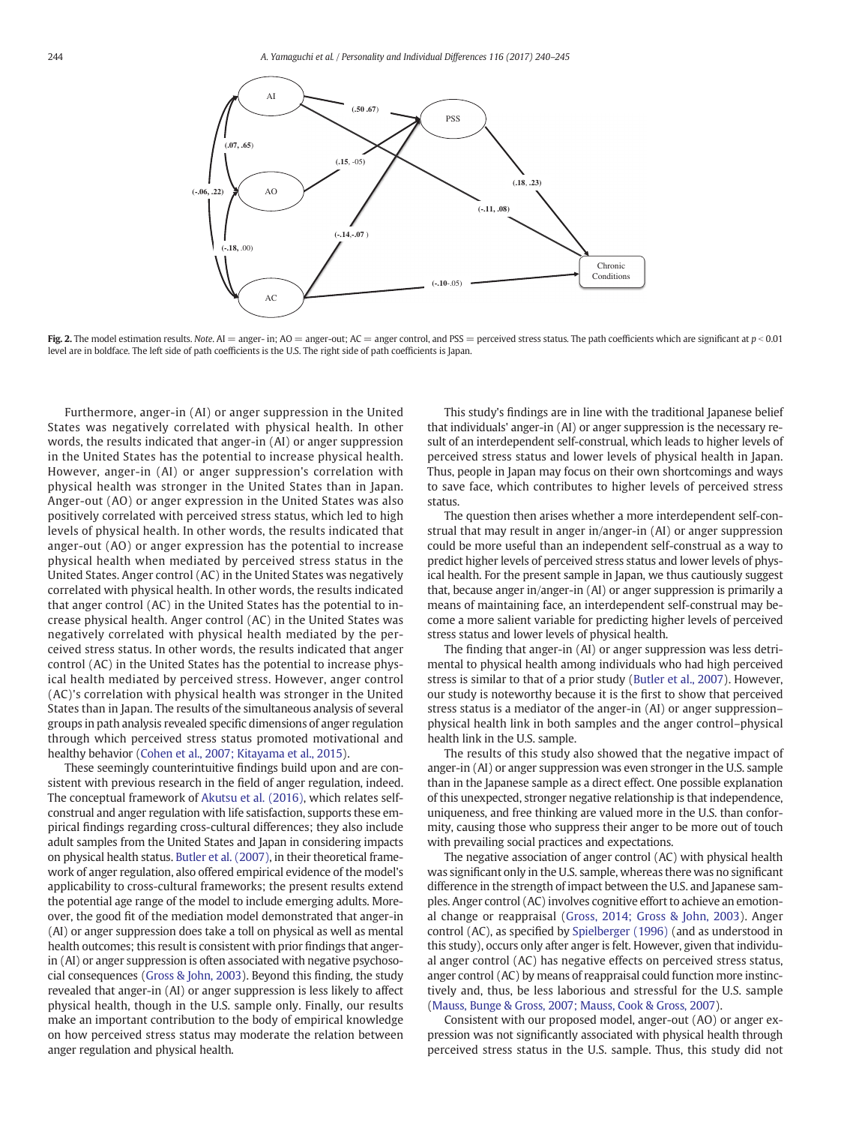<span id="page-4-0"></span>

Fig. 2. The model estimation results. Note. AI = anger- in:  $A0 =$  anger-out:  $AC =$  anger control, and PSS = perceived stress status. The path coefficients which are significant at  $p < 0.01$ level are in boldface. The left side of path coefficients is the U.S. The right side of path coefficients is Japan.

Furthermore, anger-in (AI) or anger suppression in the United States was negatively correlated with physical health. In other words, the results indicated that anger-in (AI) or anger suppression in the United States has the potential to increase physical health. However, anger-in (AI) or anger suppression's correlation with physical health was stronger in the United States than in Japan. Anger-out (AO) or anger expression in the United States was also positively correlated with perceived stress status, which led to high levels of physical health. In other words, the results indicated that anger-out (AO) or anger expression has the potential to increase physical health when mediated by perceived stress status in the United States. Anger control (AC) in the United States was negatively correlated with physical health. In other words, the results indicated that anger control (AC) in the United States has the potential to increase physical health. Anger control (AC) in the United States was negatively correlated with physical health mediated by the perceived stress status. In other words, the results indicated that anger control (AC) in the United States has the potential to increase physical health mediated by perceived stress. However, anger control (AC)'s correlation with physical health was stronger in the United States than in Japan. The results of the simultaneous analysis of several groups in path analysis revealed specific dimensions of anger regulation through which perceived stress status promoted motivational and healthy behavior [\(Cohen et al., 2007; Kitayama et al., 2015\)](#page-5-0).

These seemingly counterintuitive findings build upon and are consistent with previous research in the field of anger regulation, indeed. The conceptual framework of [Akutsu et al. \(2016\)](#page-5-0), which relates selfconstrual and anger regulation with life satisfaction, supports these empirical findings regarding cross-cultural differences; they also include adult samples from the United States and Japan in considering impacts on physical health status. [Butler et al. \(2007\)](#page-5-0), in their theoretical framework of anger regulation, also offered empirical evidence of the model's applicability to cross-cultural frameworks; the present results extend the potential age range of the model to include emerging adults. Moreover, the good fit of the mediation model demonstrated that anger-in (AI) or anger suppression does take a toll on physical as well as mental health outcomes; this result is consistent with prior findings that angerin (AI) or anger suppression is often associated with negative psychosocial consequences [\(Gross & John, 2003](#page-5-0)). Beyond this finding, the study revealed that anger-in (AI) or anger suppression is less likely to affect physical health, though in the U.S. sample only. Finally, our results make an important contribution to the body of empirical knowledge on how perceived stress status may moderate the relation between anger regulation and physical health.

This study's findings are in line with the traditional Japanese belief that individuals' anger-in (AI) or anger suppression is the necessary result of an interdependent self-construal, which leads to higher levels of perceived stress status and lower levels of physical health in Japan. Thus, people in Japan may focus on their own shortcomings and ways to save face, which contributes to higher levels of perceived stress status.

The question then arises whether a more interdependent self-construal that may result in anger in/anger-in (AI) or anger suppression could be more useful than an independent self-construal as a way to predict higher levels of perceived stress status and lower levels of physical health. For the present sample in Japan, we thus cautiously suggest that, because anger in/anger-in (AI) or anger suppression is primarily a means of maintaining face, an interdependent self-construal may become a more salient variable for predicting higher levels of perceived stress status and lower levels of physical health.

The finding that anger-in (AI) or anger suppression was less detrimental to physical health among individuals who had high perceived stress is similar to that of a prior study [\(Butler et al., 2007\)](#page-5-0). However, our study is noteworthy because it is the first to show that perceived stress status is a mediator of the anger-in (AI) or anger suppression– physical health link in both samples and the anger control–physical health link in the U.S. sample.

The results of this study also showed that the negative impact of anger-in (AI) or anger suppression was even stronger in the U.S. sample than in the Japanese sample as a direct effect. One possible explanation of this unexpected, stronger negative relationship is that independence, uniqueness, and free thinking are valued more in the U.S. than conformity, causing those who suppress their anger to be more out of touch with prevailing social practices and expectations.

The negative association of anger control (AC) with physical health was significant only in the U.S. sample, whereas there was no significant difference in the strength of impact between the U.S. and Japanese samples. Anger control (AC) involves cognitive effort to achieve an emotional change or reappraisal ([Gross, 2014; Gross & John, 2003](#page-5-0)). Anger control (AC), as specified by [Spielberger \(1996\)](#page-5-0) (and as understood in this study), occurs only after anger is felt. However, given that individual anger control (AC) has negative effects on perceived stress status, anger control (AC) by means of reappraisal could function more instinctively and, thus, be less laborious and stressful for the U.S. sample [\(Mauss, Bunge & Gross, 2007; Mauss, Cook & Gross, 2007\)](#page-5-0).

Consistent with our proposed model, anger-out (AO) or anger expression was not significantly associated with physical health through perceived stress status in the U.S. sample. Thus, this study did not